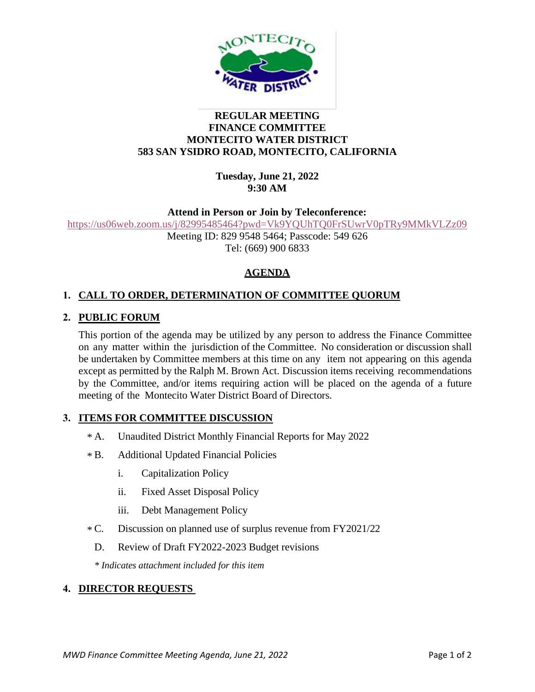

#### **REGULAR MEETING FINANCE COMMITTEE MONTECITO WATER DISTRICT 583 SAN YSIDRO ROAD, MONTECITO, CALIFORNIA**

**Tuesday, June 21, 2022 9:30 AM**

#### **Attend in Person or Join by Teleconference:**

<https://us06web.zoom.us/j/82995485464?pwd=Vk9YQUhTQ0FrSUwrV0pTRy9MMkVLZz09> Meeting ID: 829 9548 5464; Passcode: 549 626 Tel: (669) 900 6833

## **AGENDA**

# **1. CALL TO ORDER, DETERMINATION OF COMMITTEE QUORUM**

## **2. PUBLIC FORUM**

This portion of the agenda may be utilized by any person to address the Finance Committee on any matter within the jurisdiction of the Committee. No consideration or discussion shall be undertaken by Committee members at this time on any item not appearing on this agenda except as permitted by the Ralph M. Brown Act. Discussion items receiving recommendations by the Committee, and/or items requiring action will be placed on the agenda of a future meeting of the Montecito Water District Board of Directors.

## **3. ITEMS FOR COMMITTEE DISCUSSION**

- Unaudited District Monthly Financial Reports for May 2022  $* A$ .
- B. Additional Updated Financial Policies  $***B**$ 
	- i. Capitalization Policy
	- ii. Fixed Asset Disposal Policy
	- iii. Debt Management Policy
- Discussion on planned use of surplus revenue from FY2021/22  $*C.$ 
	- D. Review of Draft FY2022-2023 Budget revisions

*\* Indicates attachment included for this item*

#### **4. DIRECTOR REQUESTS**